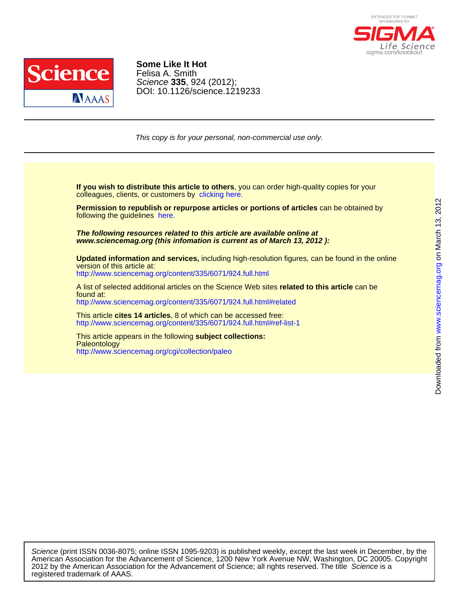



DOI: 10.1126/science.1219233 Science **335**, 924 (2012); Felisa A. Smith **Some Like It Hot**

This copy is for your personal, non-commercial use only.

colleagues, clients, or customers by [clicking here.](http://www.sciencemag.org/about/permissions.dtl) **If you wish to distribute this article to others**, you can order high-quality copies for your

following the guidelines [here.](http://www.sciencemag.org/about/permissions.dtl) **Permission to republish or repurpose articles or portions of articles** can be obtained by

**www.sciencemag.org (this infomation is current as of March 13, 2012 ): The following resources related to this article are available online at**

<http://www.sciencemag.org/content/335/6071/924.full.html> version of this article at: **Updated information and services,** including high-resolution figures, can be found in the online

<http://www.sciencemag.org/content/335/6071/924.full.html#related> found at: A list of selected additional articles on the Science Web sites **related to this article** can be

<http://www.sciencemag.org/content/335/6071/924.full.html#ref-list-1> This article **cites 14 articles**, 8 of which can be accessed free:

<http://www.sciencemag.org/cgi/collection/paleo> **Paleontology** This article appears in the following **subject collections:**

registered trademark of AAAS. 2012 by the American Association for the Advancement of Science; all rights reserved. The title Science is a American Association for the Advancement of Science, 1200 New York Avenue NW, Washington, DC 20005. Copyright Science (print ISSN 0036-8075; online ISSN 1095-9203) is published weekly, except the last week in December, by the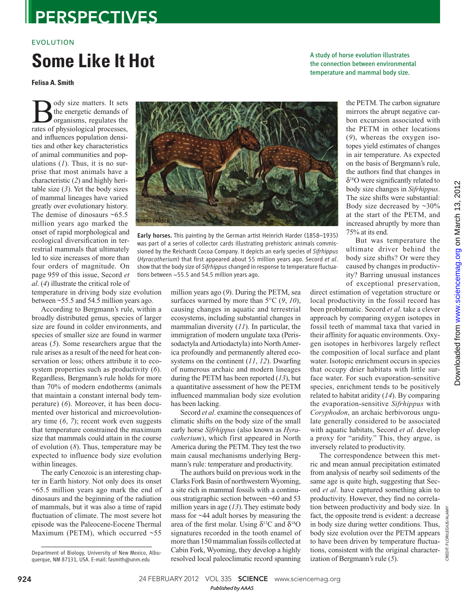# **PERSPECTIVES**

### EVOLUTION

# **Some Like It Hot**

**Felisa A. Smith**

ody size matters. It sets the energetic demands of organisms, regulates the rates of physiological processes, and influences population densities and other key characteristics of animal communities and populations  $(1)$ . Thus, it is no surprise that most animals have a characteristic (2) and highly heritable size  $(3)$ . Yet the body sizes of mammal lineages have varied greatly over evolutionary history. The demise of dinosaurs  $~5.5$ million years ago marked the onset of rapid morphological and ecological diversification in terrestrial mammals that ultimately led to size increases of more than four orders of magnitude. On page 959 of this issue, Secord *et al.* (4) illustrate the critical role of

temperature in driving body size evolution between ~55.5 and 54.5 million years ago.

According to Bergmann's rule, within a broadly distributed genus, species of larger size are found in colder environments, and species of smaller size are found in warmer areas ( *5*). Some researchers argue that the rule arises as a result of the need for heat conservation or loss; others attribute it to ecosystem properties such as productivity (6). Regardless, Bergmann's rule holds for more than 70% of modern endotherms (animals that maintain a constant internal body temperature) (6). Moreover, it has been documented over historical and microevolutionary time  $(6, 7)$ ; recent work even suggests that temperature constrained the maximum size that mammals could attain in the course of evolution ( *8*). Thus, temperature may be expected to influence body size evolution within lineages.

The early Cenozoic is an interesting chapter in Earth history. Not only does its onset ~65.5 million years ago mark the end of dinosaurs and the beginning of the radiation of mammals, but it was also a time of rapid fluctuation of climate. The most severe hot episode was the Paleocene-Eocene Thermal Maximum (PETM), which occurred ~55



Early horses. This painting by the German artist Heinrich Harder (1858–1935) was part of a series of collector cards illustrating prehistoric animals commissioned by the Reichardt Cocoa Company. It depicts an early species of *Sifrhippus* (*Hyracotherium*) that first appeared about 55 million years ago. Secord et al. show that the body size of *Sifrhippus* changed in response to temperature fluctuations between ~55.5 and 54.5 million years ago.

million years ago (9). During the PETM, sea surfaces warmed by more than  $5^{\circ}C$  (9, 10), causing changes in aquatic and terrestrial ecosystems, including substantial changes in mammalian diversity (11). In particular, the immigration of modern ungulate taxa (Perissodactyla and Artiodactyla) into North America profoundly and permanently altered ecosystems on the continent  $(11, 12)$ . Dwarfing of numerous archaic and modern lineages during the PETM has been reported (13), but a quantitative assessment of how the PETM influenced mammalian body size evolution has been lacking.

Secord *et al*. examine the consequences of climatic shifts on the body size of the small early horse *Sifrhippus* (also known as *Hyracotherium*), which first appeared in North America during the PETM. They test the two main causal mechanisms underlying Bergmann's rule: temperature and productivity.

The authors build on previous work in the Clarks Fork Basin of northwestern Wyoming, a site rich in mammal fossils with a continuous stratigraphic section between ~60 and 53 million years in age  $(13)$ . They estimate body mass for ~44 adult horses by measuring the area of the first molar. Using  $\delta^{13}C$  and  $\delta^{18}O$ signatures recorded in the tooth enamel of more than 150 mammalian fossils collected at Cabin Fork, Wyoming, they develop a highly resolved local paleoclimatic record spanning

A study of horse evolution illustrates the connection between environmental temperature and mammal body size.

the PETM. The carbon signature mirrors the abrupt negative carbon excursion associated with the PETM in other locations ( *9*), whereas the oxygen isotopes yield estimates of changes in air temperature. As expected on the basis of Bergmann's rule, the authors find that changes in δ<sup>18</sup>O were significantly related to body size changes in *Sifrhippus*. The size shifts were substantial: Body size decreased by ~30% at the start of the PETM, and increased abruptly by more than 75% at its end.

But was temperature the ultimate driver behind the body size shifts? Or were they caused by changes in productivity? Barring unusual instances of exceptional preservation,

direct estimation of vegetation structure or local productivity in the fossil record has been problematic. Secord *et al*. take a clever approach by comparing oxygen isotopes in fossil teeth of mammal taxa that varied in their affinity for aquatic environments. Oxygen isotopes in herbivores largely reflect the composition of local surface and plant water. Isotopic enrichment occurs in species that occupy drier habitats with little surface water. For such evaporation-sensitive species, enrichment tends to be positively related to habitat aridity ( *14*). By comparing the evaporation-sensitive *Sifrhippus* with *Coryphodon*, an archaic herbivorous ungulate generally considered to be associated with aquatic habitats, Secord *et al*. develop a proxy for "aridity." This, they argue, is inversely related to productivity.

The correspondence between this metric and mean annual precipitation estimated from analysis of nearby soil sediments of the same age is quite high, suggesting that Secord *et al*. have captured something akin to productivity. However, they find no correlation between productivity and body size. In fact, the opposite trend is evident: a decrease in body size during wetter conditions. Thus, body size evolution over the PETM appears to have been driven by temperature fluctuations, consistent with the original characterization of Bergmann's rule (5).

CREDIT: FLORILEGIUS/ALAMY

**CREDIT:** 

Department of Biology, University of New Mexico, Albuquerque, NM 87131, USA. E-mail: fasmith@unm.edu